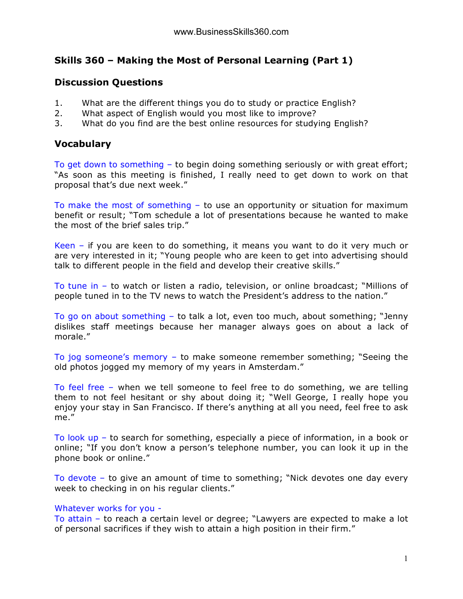# **Skills 360 – Making the Most of Personal Learning (Part 1)**

## **Discussion Questions**

- 1. What are the different things you do to study or practice English?
- 2. What aspect of English would you most like to improve?
- 3. What do you find are the best online resources for studying English?

# **Vocabulary**

To get down to something – to begin doing something seriously or with great effort; "As soon as this meeting is finished, I really need to get down to work on that proposal that's due next week."

To make the most of something – to use an opportunity or situation for maximum benefit or result; "Tom schedule a lot of presentations because he wanted to make the most of the brief sales trip."

Keen – if you are keen to do something, it means you want to do it very much or are very interested in it; "Young people who are keen to get into advertising should talk to different people in the field and develop their creative skills."

To tune in – to watch or listen a radio, television, or online broadcast; "Millions of people tuned in to the TV news to watch the President's address to the nation."

To go on about something – to talk a lot, even too much, about something; "Jenny dislikes staff meetings because her manager always goes on about a lack of morale."

To jog someone's memory – to make someone remember something; "Seeing the old photos jogged my memory of my years in Amsterdam."

To feel free – when we tell someone to feel free to do something, we are telling them to not feel hesitant or shy about doing it; "Well George, I really hope you enjoy your stay in San Francisco. If there's anything at all you need, feel free to ask me."

To look up – to search for something, especially a piece of information, in a book or online; "If you don't know a person's telephone number, you can look it up in the phone book or online."

To devote – to give an amount of time to something; "Nick devotes one day every week to checking in on his regular clients."

### Whatever works for you -

To attain – to reach a certain level or degree; "Lawyers are expected to make a lot of personal sacrifices if they wish to attain a high position in their firm."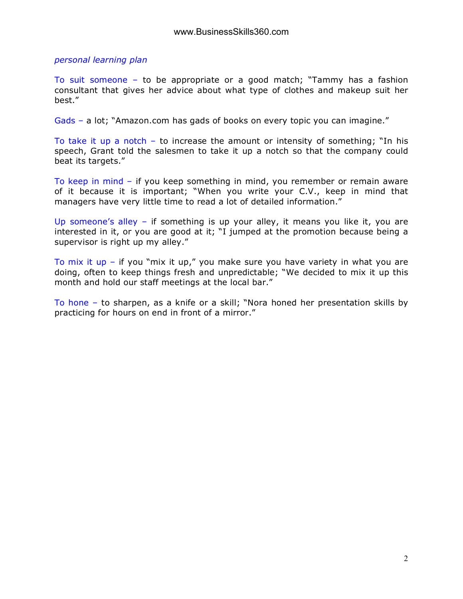*personal learning plan*

To suit someone – to be appropriate or a good match; "Tammy has a fashion consultant that gives her advice about what type of clothes and makeup suit her best."

Gads – a lot; "Amazon.com has gads of books on every topic you can imagine."

To take it up a notch – to increase the amount or intensity of something; "In his speech, Grant told the salesmen to take it up a notch so that the company could beat its targets."

To keep in mind – if you keep something in mind, you remember or remain aware of it because it is important; "When you write your C.V., keep in mind that managers have very little time to read a lot of detailed information."

Up someone's alley – if something is up your alley, it means you like it, you are interested in it, or you are good at it; "I jumped at the promotion because being a supervisor is right up my alley."

To mix it up – if you "mix it up," you make sure you have variety in what you are doing, often to keep things fresh and unpredictable; "We decided to mix it up this month and hold our staff meetings at the local bar."

To hone – to sharpen, as a knife or a skill; "Nora honed her presentation skills by practicing for hours on end in front of a mirror."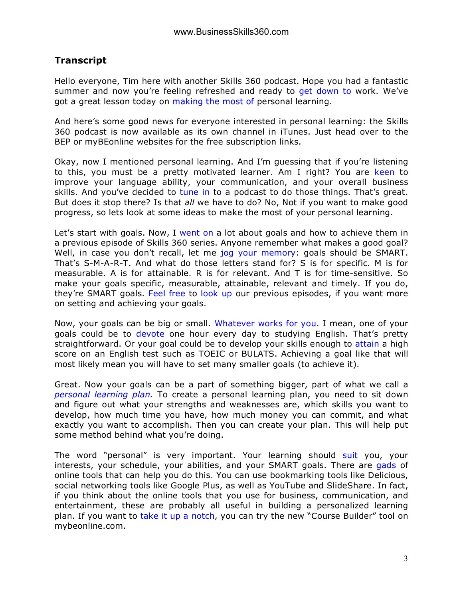## **Transcript**

Hello everyone, Tim here with another Skills 360 podcast. Hope you had a fantastic summer and now you're feeling refreshed and ready to get down to work. We've got a great lesson today on making the most of personal learning.

And here's some good news for everyone interested in personal learning: the Skills 360 podcast is now available as its own channel in iTunes. Just head over to the BEP or myBEonline websites for the free subscription links.

Okay, now I mentioned personal learning. And I'm guessing that if you're listening to this, you must be a pretty motivated learner. Am I right? You are keen to improve your language ability, your communication, and your overall business skills. And you've decided to tune in to a podcast to do those things. That's great. But does it stop there? Is that *all* we have to do? No, Not if you want to make good progress, so lets look at some ideas to make the most of your personal learning.

Let's start with goals. Now, I went on a lot about goals and how to achieve them in a previous episode of Skills 360 series. Anyone remember what makes a good goal? Well, in case you don't recall, let me jog your memory: goals should be SMART. That's S-M-A-R-T. And what do those letters stand for? S is for specific. M is for measurable. A is for attainable. R is for relevant. And T is for time-sensitive. So make your goals specific, measurable, attainable, relevant and timely. If you do, they're SMART goals. Feel free to look up our previous episodes, if you want more on setting and achieving your goals.

Now, your goals can be big or small. Whatever works for you. I mean, one of your goals could be to devote one hour every day to studying English. That's pretty straightforward. Or your goal could be to develop your skills enough to attain a high score on an English test such as TOEIC or BULATS. Achieving a goal like that will most likely mean you will have to set many smaller goals (to achieve it).

Great. Now your goals can be a part of something bigger, part of what we call a *personal learning plan.* To create a personal learning plan, you need to sit down and figure out what your strengths and weaknesses are, which skills you want to develop, how much time you have, how much money you can commit, and what exactly you want to accomplish. Then you can create your plan. This will help put some method behind what you're doing.

The word "personal" is very important. Your learning should suit you, your interests, your schedule, your abilities, and your SMART goals. There are gads of online tools that can help you do this. You can use bookmarking tools like Delicious, social networking tools like Google Plus, as well as YouTube and SlideShare. In fact, if you think about the online tools that you use for business, communication, and entertainment, these are probably all useful in building a personalized learning plan. If you want to take it up a notch, you can try the new "Course Builder" tool on mybeonline.com.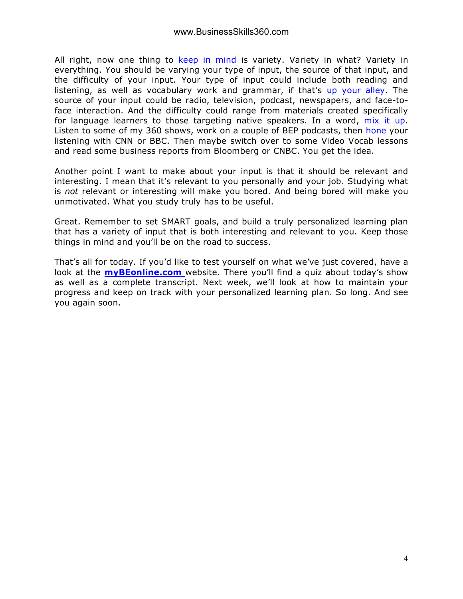All right, now one thing to keep in mind is variety. Variety in what? Variety in everything. You should be varying your type of input, the source of that input, and the difficulty of your input. Your type of input could include both reading and listening, as well as vocabulary work and grammar, if that's up your alley. The source of your input could be radio, television, podcast, newspapers, and face-toface interaction. And the difficulty could range from materials created specifically for language learners to those targeting native speakers. In a word, mix it up. Listen to some of my 360 shows, work on a couple of BEP podcasts, then hone your listening with CNN or BBC. Then maybe switch over to some Video Vocab lessons and read some business reports from Bloomberg or CNBC. You get the idea.

Another point I want to make about your input is that it should be relevant and interesting. I mean that it's relevant to you personally and your job. Studying what is *not* relevant or interesting will make you bored. And being bored will make you unmotivated. What you study truly has to be useful.

Great. Remember to set SMART goals, and build a truly personalized learning plan that has a variety of input that is both interesting and relevant to you. Keep those things in mind and you'll be on the road to success.

That's all for today. If you'd like to test yourself on what we've just covered, have a look at the **myBEonline.com** website. There you'll find a quiz about today's show as well as a complete transcript. Next week, we'll look at how to maintain your progress and keep on track with your personalized learning plan. So long. And see you again soon.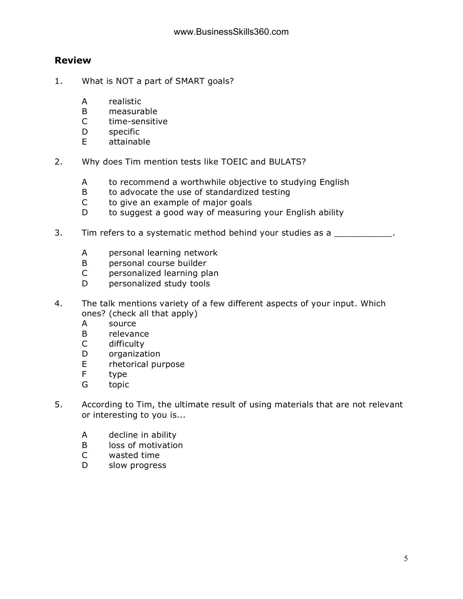### **Review**

- 1. What is NOT a part of SMART goals?
	- A realistic
	- B measurable
	- C time-sensitive
	- D specific
	- E attainable
- 2. Why does Tim mention tests like TOEIC and BULATS?
	- A to recommend a worthwhile objective to studying English
	- B to advocate the use of standardized testing
	- C to give an example of major goals
	- D to suggest a good way of measuring your English ability
- 3. Tim refers to a systematic method behind your studies as a
	- A personal learning network
	- B personal course builder
	- C personalized learning plan
	- D personalized study tools
- 4. The talk mentions variety of a few different aspects of your input. Which ones? (check all that apply)
	- A source
	- B relevance
	- C difficulty
	- D organization
	- E rhetorical purpose
	- F type
	- G topic
- 5. According to Tim, the ultimate result of using materials that are not relevant or interesting to you is...
	- A decline in ability
	- B loss of motivation
	- C wasted time
	- D slow progress